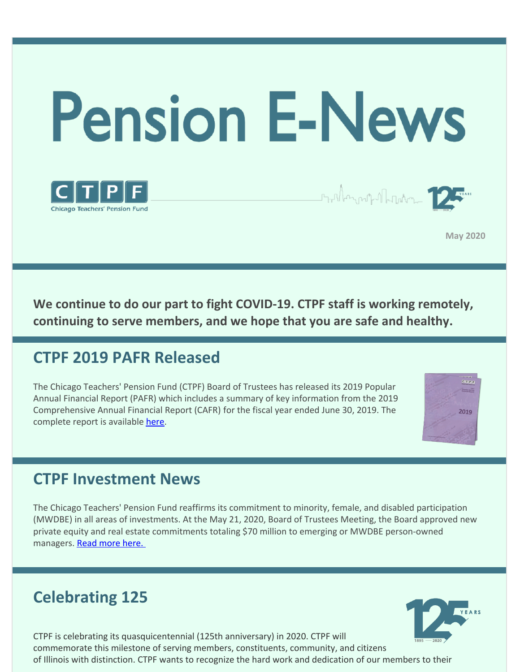

**May 2020**

**We continue to do our part to fight COVID-19. CTPF staff is working remotely, continuing to serve members, and we hope that you are safe and healthy.**

### **CTPF 2019 PAFR Released**

The Chicago Teachers' Pension Fund (CTPF) Board of Trustees has released its 2019 Popular Annual Financial Report (PAFR) which includes a summary of key information from the 2019 Comprehensive Annual Financial Report (CAFR) for the fiscal year ended June 30, 2019. The complete report is available [here](https://www.ctpf.org/sites/main/files/file-attachments/2019_pafr_final.pdf).



### **CTPF Investment News**

The Chicago Teachers' Pension Fund reaffirms its commitment to minority, female, and disabled participation (MWDBE) in all areas of investments. At the May 21, 2020, Board of Trustees Meeting, the Board approved new private equity and real estate commitments totaling \$70 million to emerging or MWDBE person-owned managers. Read [more](https://www.ctpf.org/news/ctpf-commits-70-million-mwdbe-firms) here.

## **Celebrating 125**



CTPF is celebrating its quasquicentennial (125th anniversary) in 2020. CTPF will commemorate this milestone of serving members, constituents, community, and citizens of Illinois with distinction. CTPF wants to recognize the hard work and dedication of our members to their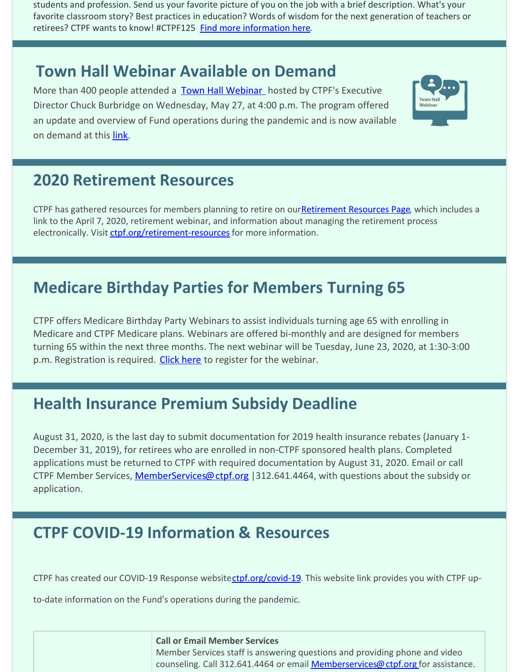students and profession. Send us your favorite picture of you on the job with a brief description. What's your favorite classroom story? Best practices in education? Words of wisdom for the next generation of teachers or retirees? CTPF wants to know! #CTPF125 [Find more information here](https://bit.ly/39zTCYy).

### **Town Hall Webinar Available on Demand**

More than 400 people attended a [Town Hall Webinar](https://www.ctpf.org/sites/main/files/file-attachments/may_27_2020_webinar.pdf) hosted by CTPF's Executive Director Chuck Burbridge on Wednesday, May 27, at 4:00 p.m. The program offered an update and overview of Fund operations during the pandemic and is now available on demand at this [link](https://bit.ly/3epJ0xK).



### **2020 Retirement Resources**

CTPF has gathered resources for members planning to retire on our**Retirement Resources Page**, which includes a link to the April 7, 2020, retirement webinar, and information about managing the retirement process electronically. Visit [ctpf.org/retirement-resources](http://ctpf.org/retirement-resources) for more information.

# **Medicare Birthday Parties for Members Turning 65**

CTPF offers Medicare Birthday Party Webinars to assist individuals turning age 65 with enrolling in Medicare and CTPF Medicare plans. Webinars are offered bi-monthly and are designed for members turning 65 within the next three months. The next webinar will be Tuesday, June 23, 2020, at 1:30-3:00 p.m. Registration is required. [Click here](http://rebrand.ly/Medicarebirthdayparty) to register for the webinar.

## **Health Insurance Premium Subsidy Deadline**

August 31, 2020, is the last day to submit documentation for 2019 health insurance rebates (January 1- December 31, 2019), for retirees who are enrolled in non-CTPF sponsored health plans. Completed applications must be returned to CTPF with required documentation by August 31, 2020. Email or call CTPF Member Services, [MemberServices@ctpf.org](mailto:MemberServices@ctpf.org) | 312.641.4464, with questions about the subsidy or application.

## **CTPF COVID-19 Information & Resources**

CTPF has created our COVID-19 Response websitectpf.org/covid-19. This website link provides you with CTPF up-

to-date information on the Fund's operations during the pandemic.

### **Call or Email Member Services** Member Services staff is answering questions and providing phone and video counseling. Call 312.641.4464 or email [Memberservices@ctpf.org](mailto:MemberServices@ctpf.org) for assistance.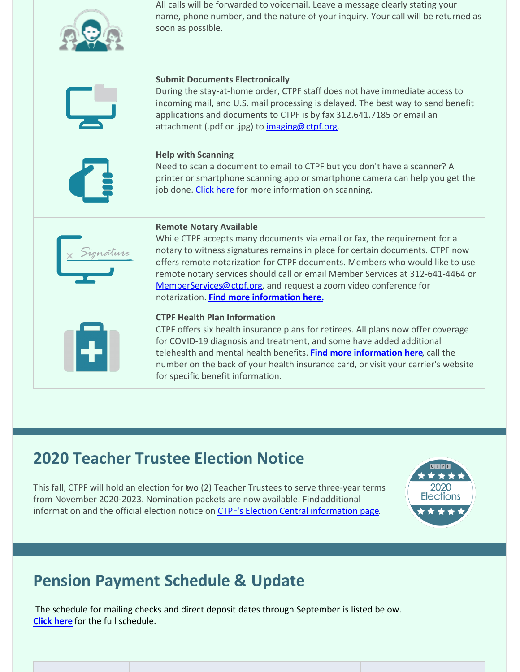| All calls will be forwarded to voicemail. Leave a message clearly stating your<br>name, phone number, and the nature of your inquiry. Your call will be returned as<br>soon as possible.                                                                                                                                                                                                                                                                                         |  |
|----------------------------------------------------------------------------------------------------------------------------------------------------------------------------------------------------------------------------------------------------------------------------------------------------------------------------------------------------------------------------------------------------------------------------------------------------------------------------------|--|
| <b>Submit Documents Electronically</b><br>During the stay-at-home order, CTPF staff does not have immediate access to<br>incoming mail, and U.S. mail processing is delayed. The best way to send benefit<br>applications and documents to CTPF is by fax 312.641.7185 or email an<br>attachment (.pdf or .jpg) to imaging@ctpf.org.                                                                                                                                             |  |
| <b>Help with Scanning</b><br>Need to scan a document to email to CTPF but you don't have a scanner? A<br>printer or smartphone scanning app or smartphone camera can help you get the<br>job done. Click here for more information on scanning.                                                                                                                                                                                                                                  |  |
| <b>Remote Notary Available</b><br>While CTPF accepts many documents via email or fax, the requirement for a<br>notary to witness signatures remains in place for certain documents. CTPF now<br>offers remote notarization for CTPF documents. Members who would like to use<br>remote notary services should call or email Member Services at 312-641-4464 or<br>MemberServices@ ctpf.org, and request a zoom video conference for<br>notarization. Find more information here. |  |
| <b>CTPF Health Plan Information</b><br>CTPF offers six health insurance plans for retirees. All plans now offer coverage<br>for COVID-19 diagnosis and treatment, and some have added additional<br>telehealth and mental health benefits. Find more information here, call the<br>number on the back of your health insurance card, or visit your carrier's website<br>for specific benefit information.                                                                        |  |

### **2020 Teacher Trustee Election Notice**

This fall, CTPF will hold an election for two (2) Teacher Trustees to serve three-year terms from November 2020-2023. Nomination packets are now available. Find additional information and the official election notice on [CTPF's Election Central information page](https://www.ctpf.org/2020-election-central).



# **Pension Payment Schedule & Update**

The schedule for mailing checks and direct deposit dates through September is listed below. **[Click here](https://www.ctpf.org/pension-payments)** for the full schedule.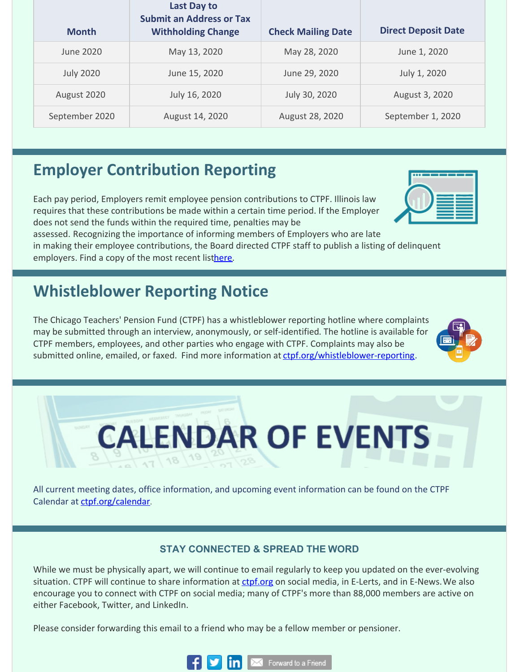| <b>Month</b>     | <b>Last Day to</b><br><b>Submit an Address or Tax</b><br><b>Withholding Change</b> | <b>Check Mailing Date</b> | <b>Direct Deposit Date</b> |
|------------------|------------------------------------------------------------------------------------|---------------------------|----------------------------|
| June 2020        | May 13, 2020                                                                       | May 28, 2020              | June 1, 2020               |
| <b>July 2020</b> | June 15, 2020                                                                      | June 29, 2020             | July 1, 2020               |
| August 2020      | July 16, 2020                                                                      | July 30, 2020             | August 3, 2020             |
| September 2020   | August 14, 2020                                                                    | August 28, 2020           | September 1, 2020          |

## **Employer Contribution Reporting**

Each pay period, Employers remit employee pension contributions to CTPF. Illinois law requires that these contributions be made within a certain time period. If the Employer does not send the funds within the required time, penalties may be

assessed. Recognizing the importance of informing members of Employers who are late in making their employee contributions, the Board directed CTPF staff to publish a listing of delinquent employers. Find a copy of the most recent lis[there](http://ctpf.org/employer-contribution-reporting).

### **Whistleblower Reporting Notice**

The Chicago Teachers' Pension Fund (CTPF) has a whistleblower reporting hotline where complaints may be submitted through an interview, anonymously, or self-identified. The hotline is available for CTPF members, employees, and other parties who engage with CTPF. Complaints may also be submitted online, emailed, or faxed. Find more information at [ctpf.org/whistleblower-reporting](http://ctpf.org/whistleblower-reporting).



# **CALENDAR OF EVENTS**  $\frac{1}{17}$  18  $\frac{19}{19}$

All current meeting dates, office information, and upcoming event information can be found on the CTPF Calendar at [ctpf.org/calendar](http://www.ctpf.org/calendar).

### **STAY CONNECTED & SPREAD THE WORD**

While we must be physically apart, we will continue to email regularly to keep you updated on the ever-evolving situation. CTPF will continue to share information at [ctpf.org](http://ctpf.org) on social media, in E-Lerts, and in E-News. We also encourage you to connect with CTPF on social media; many of CTPF's more than 88,000 members are active on either Facebook, Twitter, and LinkedIn.

Please consider forwarding this email to a friend who may be a fellow member or pensioner.